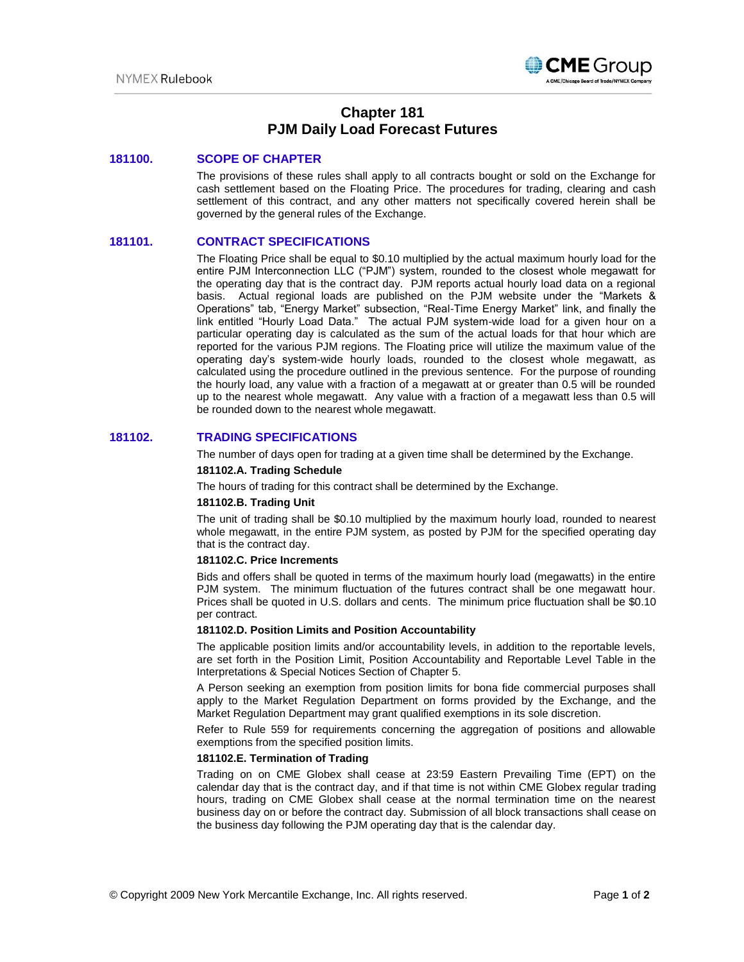

# **Chapter 181 PJM Daily Load Forecast Futures**

#### **181100. SCOPE OF CHAPTER**

The provisions of these rules shall apply to all contracts bought or sold on the Exchange for cash settlement based on the Floating Price. The procedures for trading, clearing and cash settlement of this contract, and any other matters not specifically covered herein shall be governed by the general rules of the Exchange.

### **181101. CONTRACT SPECIFICATIONS**

The Floating Price shall be equal to \$0.10 multiplied by the actual maximum hourly load for the entire PJM Interconnection LLC ("PJM") system, rounded to the closest whole megawatt for the operating day that is the contract day. PJM reports actual hourly load data on a regional basis. Actual regional loads are published on the PJM website under the "Markets & Operations" tab, "Energy Market" subsection, "Real-Time Energy Market" link, and finally the link entitled "Hourly Load Data." The actual PJM system-wide load for a given hour on a particular operating day is calculated as the sum of the actual loads for that hour which are reported for the various PJM regions. The Floating price will utilize the maximum value of the operating day's system-wide hourly loads, rounded to the closest whole megawatt, as calculated using the procedure outlined in the previous sentence. For the purpose of rounding the hourly load, any value with a fraction of a megawatt at or greater than 0.5 will be rounded up to the nearest whole megawatt. Any value with a fraction of a megawatt less than 0.5 will be rounded down to the nearest whole megawatt.

## **181102. TRADING SPECIFICATIONS**

The number of days open for trading at a given time shall be determined by the Exchange.

#### **181102.A. Trading Schedule**

The hours of trading for this contract shall be determined by the Exchange.

#### **181102.B. Trading Unit**

The unit of trading shall be \$0.10 multiplied by the maximum hourly load, rounded to nearest whole megawatt, in the entire PJM system, as posted by PJM for the specified operating day that is the contract day.

### **181102.C. Price Increments**

Bids and offers shall be quoted in terms of the maximum hourly load (megawatts) in the entire PJM system. The minimum fluctuation of the futures contract shall be one megawatt hour. Prices shall be quoted in U.S. dollars and cents. The minimum price fluctuation shall be \$0.10 per contract.

#### **181102.D. Position Limits and Position Accountability**

The applicable position limits and/or accountability levels, in addition to the reportable levels, are set forth in the Position Limit, Position Accountability and Reportable Level Table in the Interpretations & Special Notices Section of Chapter 5.

A Person seeking an exemption from position limits for bona fide commercial purposes shall apply to the Market Regulation Department on forms provided by the Exchange, and the Market Regulation Department may grant qualified exemptions in its sole discretion.

Refer to Rule 559 for requirements concerning the aggregation of positions and allowable exemptions from the specified position limits.

### **181102.E. Termination of Trading**

Trading on on CME Globex shall cease at 23:59 Eastern Prevailing Time (EPT) on the calendar day that is the contract day, and if that time is not within CME Globex regular trading hours, trading on CME Globex shall cease at the normal termination time on the nearest business day on or before the contract day. Submission of all block transactions shall cease on the business day following the PJM operating day that is the calendar day.